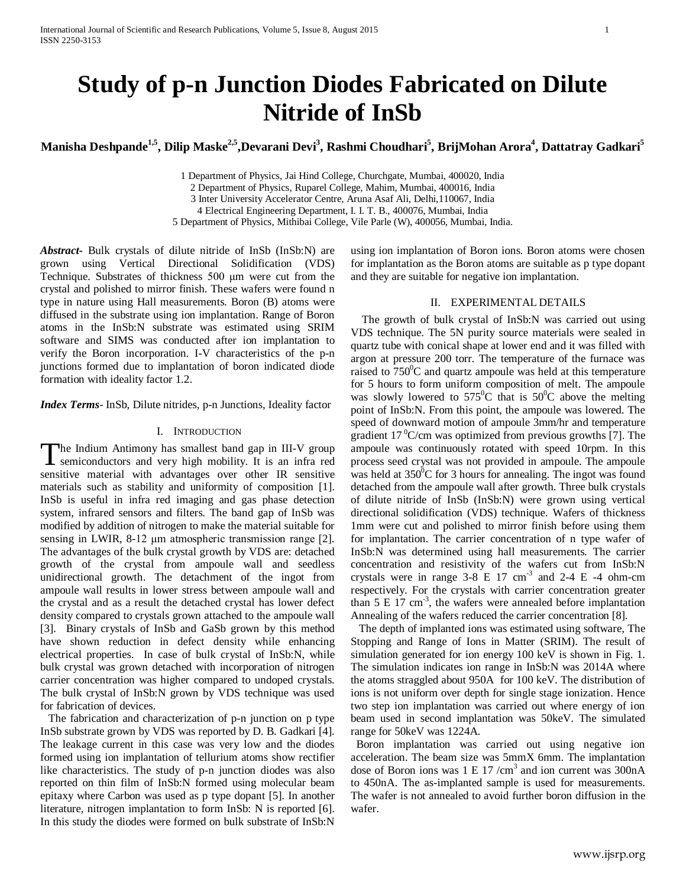# **Study of p-n Junction Diodes Fabricated on Dilute Nitride of InSb**

**Manisha Deshpande1,5, Dilip Maske2,5,Devarani Devi3 , Rashmi Choudhari5 , BrijMohan Arora4 , Dattatray Gadkari5**

1 Department of Physics, Jai Hind College, Churchgate, Mumbai, 400020, India 2 Department of Physics, Ruparel College, Mahim, Mumbai, 400016, India 3 Inter University Accelerator Centre, Aruna Asaf Ali, Delhi,110067, India 4 Electrical Engineering Department, I. I. T. B., 400076, Mumbai, India

5 Department of Physics, Mithibai College, Vile Parle (W), 400056, Mumbai, India.

*Abstract***-** Bulk crystals of dilute nitride of InSb (InSb:N) are grown using Vertical Directional Solidification (VDS) Technique. Substrates of thickness 500 μm were cut from the crystal and polished to mirror finish. These wafers were found n type in nature using Hall measurements. Boron (B) atoms were diffused in the substrate using ion implantation. Range of Boron atoms in the InSb:N substrate was estimated using SRIM software and SIMS was conducted after ion implantation to verify the Boron incorporation. I-V characteristics of the p-n junctions formed due to implantation of boron indicated diode formation with ideality factor 1.2.

*Index Terms*- InSb, Dilute nitrides, p-n Junctions, Ideality factor

## I. INTRODUCTION

The Indium Antimony has smallest band gap in III-V group The Indium Antimony has smallest band gap in III-V group<br>semiconductors and very high mobility. It is an infra red sensitive material with advantages over other IR sensitive materials such as stability and uniformity of composition [1]. InSb is useful in infra red imaging and gas phase detection system, infrared sensors and filters. The band gap of InSb was modified by addition of nitrogen to make the material suitable for sensing in LWIR, 8-12 μm atmospheric transmission range [2]. The advantages of the bulk crystal growth by VDS are: detached growth of the crystal from ampoule wall and seedless unidirectional growth. The detachment of the ingot from ampoule wall results in lower stress between ampoule wall and the crystal and as a result the detached crystal has lower defect density compared to crystals grown attached to the ampoule wall [3]. Binary crystals of InSb and GaSb grown by this method have shown reduction in defect density while enhancing electrical properties. In case of bulk crystal of InSb:N, while bulk crystal was grown detached with incorporation of nitrogen carrier concentration was higher compared to undoped crystals. The bulk crystal of InSb:N grown by VDS technique was used for fabrication of devices.

 The fabrication and characterization of p-n junction on p type InSb substrate grown by VDS was reported by D. B. Gadkari [4]. The leakage current in this case was very low and the diodes formed using ion implantation of tellurium atoms show rectifier like characteristics. The study of p-n junction diodes was also reported on thin film of InSb:N formed using molecular beam epitaxy where Carbon was used as p type dopant [5]. In another literature, nitrogen implantation to form InSb: N is reported [6]. In this study the diodes were formed on bulk substrate of InSb:N

using ion implantation of Boron ions. Boron atoms were chosen for implantation as the Boron atoms are suitable as p type dopant and they are suitable for negative ion implantation.

## II. EXPERIMENTAL DETAILS

 The growth of bulk crystal of InSb:N was carried out using VDS technique. The 5N purity source materials were sealed in quartz tube with conical shape at lower end and it was filled with argon at pressure 200 torr. The temperature of the furnace was raised to  $750^{\circ}$ C and quartz ampoule was held at this temperature for 5 hours to form uniform composition of melt. The ampoule was slowly lowered to  $575^{\circ}$ C that is  $50^{\circ}$ C above the melting point of InSb:N. From this point, the ampoule was lowered. The speed of downward motion of ampoule 3mm/hr and temperature gradient 17 $\mathrm{^0C/cm}$  was optimized from previous growths [7]. The ampoule was continuously rotated with speed 10rpm. In this process seed crystal was not provided in ampoule. The ampoule was held at  $350^{\circ}$ C for 3 hours for annealing. The ingot was found detached from the ampoule wall after growth. Three bulk crystals of dilute nitride of InSb (InSb:N) were grown using vertical directional solidification (VDS) technique. Wafers of thickness 1mm were cut and polished to mirror finish before using them for implantation. The carrier concentration of n type wafer of InSb:N was determined using hall measurements. The carrier concentration and resistivity of the wafers cut from InSb:N crystals were in range  $3-8 \text{ E } 17 \text{ cm}^3$  and  $2-4 \text{ E } -4 \text{ ohm-cm}$ respectively. For the crystals with carrier concentration greater than  $5 \text{ E } 17 \text{ cm}^3$ , the wafers were annealed before implantation Annealing of the wafers reduced the carrier concentration [8].

 The depth of implanted ions was estimated using software, The Stopping and Range of Ions in Matter (SRIM). The result of simulation generated for ion energy 100 keV is shown in Fig. 1. The simulation indicates ion range in InSb:N was 2014A where the atoms straggled about 950A for 100 keV. The distribution of ions is not uniform over depth for single stage ionization. Hence two step ion implantation was carried out where energy of ion beam used in second implantation was 50keV. The simulated range for 50keV was 1224A.

Boron implantation was carried out using negative ion acceleration. The beam size was 5mmX 6mm. The implantation dose of Boron ions was  $1 \nE 17 / \text{cm}^3$  and ion current was 300nA to 450nA. The as-implanted sample is used for measurements. The wafer is not annealed to avoid further boron diffusion in the wafer.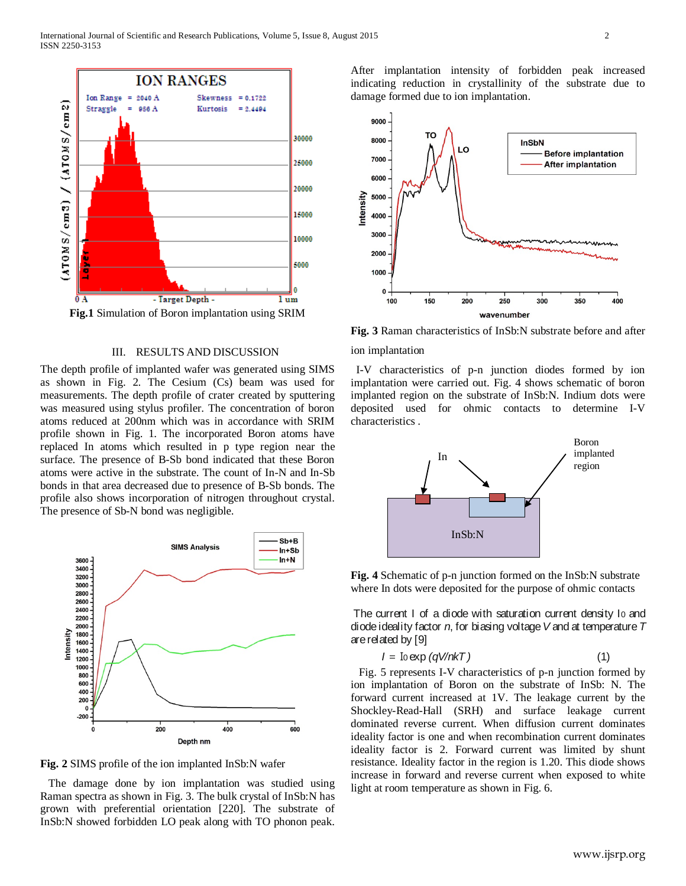

III. RESULTS AND DISCUSSION

The depth profile of implanted wafer was generated using SIMS as shown in Fig. 2. The Cesium (Cs) beam was used for measurements. The depth profile of crater created by sputtering was measured using stylus profiler. The concentration of boron atoms reduced at 200nm which was in accordance with SRIM profile shown in Fig. 1. The incorporated Boron atoms have replaced In atoms which resulted in p type region near the surface. The presence of B-Sb bond indicated that these Boron atoms were active in the substrate. The count of In-N and In-Sb bonds in that area decreased due to presence of B-Sb bonds. The profile also shows incorporation of nitrogen throughout crystal. The presence of Sb-N bond was negligible.



**Fig. 2** SIMS profile of the ion implanted InSb:N wafer

 The damage done by ion implantation was studied using Raman spectra as shown in Fig. 3. The bulk crystal of InSb:N has grown with preferential orientation [220]. The substrate of InSb:N showed forbidden LO peak along with TO phonon peak.

After implantation intensity of forbidden peak increased indicating reduction in crystallinity of the substrate due to damage formed due to ion implantation.



ion implantation

 I-V characteristics of p-n junction diodes formed by ion implantation were carried out. Fig. 4 shows schematic of boron implanted region on the substrate of InSb:N. Indium dots were deposited used for ohmic contacts to determine I-V characteristics .



**Fig. 4** Schematic of p-n junction formed on the InSb:N substrate where In dots were deposited for the purpose of ohmic contacts

The current I of a diode with saturation current density I0 and diode ideality factor *n*, for biasing voltage *V* and at temperature *T*  are related by [9]

$$
I = \text{Io} \exp(qV/nkT) \tag{1}
$$

 Fig. 5 represents I-V characteristics of p-n junction formed by ion implantation of Boron on the substrate of InSb: N. The forward current increased at 1V. The leakage current by the Shockley-Read-Hall (SRH) and surface leakage current dominated reverse current. When diffusion current dominates ideality factor is one and when recombination current dominates ideality factor is 2. Forward current was limited by shunt resistance. Ideality factor in the region is 1.20. This diode shows increase in forward and reverse current when exposed to white light at room temperature as shown in Fig. 6.